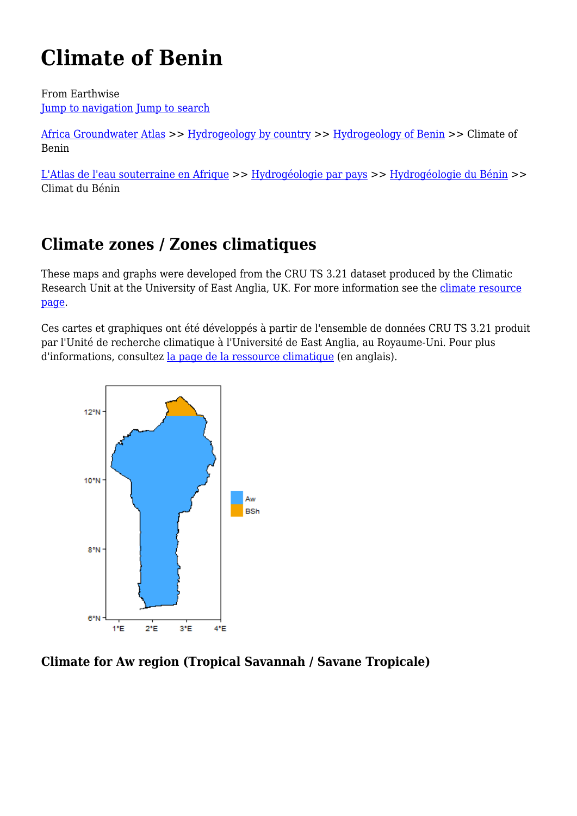# **Climate of Benin**

From Earthwise [Jump to navigation](#page--1-0) [Jump to search](#page--1-0)

[Africa Groundwater Atlas](http://earthwise.bgs.ac.uk/index.php/Africa_Groundwater_Atlas_Home) >> [Hydrogeology by country](http://earthwise.bgs.ac.uk/index.php/Hydrogeology_by_country) >> [Hydrogeology of Benin](http://earthwise.bgs.ac.uk/index.php/Hydrogeology_of_Benin) >> Climate of Benin

[L'Atlas de l'eau souterraine en Afrique](http://earthwise.bgs.ac.uk/index.php/Atlas_Eaux_Souterraines_Afrique) >> [Hydrogéologie par pays](http://earthwise.bgs.ac.uk/index.php/Hydrog%C3%A9ologie_par_pays) >> [Hydrogéologie du Bénin](http://earthwise.bgs.ac.uk/index.php/Hydrog%C3%A9ologie_du_B%C3%A9nin) >> Climat du Bénin

# **Climate zones / Zones climatiques**

These maps and graphs were developed from the CRU TS 3.21 dataset produced by the Climatic Research Unit at the University of East Anglia, UK. For more information see the [climate resource](http://earthwise.bgs.ac.uk/index.php/Climate) [page.](http://earthwise.bgs.ac.uk/index.php/Climate)

Ces cartes et graphiques ont été développés à partir de l'ensemble de données CRU TS 3.21 produit par l'Unité de recherche climatique à l'Université de East Anglia, au Royaume-Uni. Pour plus d'informations, consultez [la page de la ressource climatique](http://earthwise.bgs.ac.uk/index.php/Climate) (en anglais).



# **Climate for Aw region (Tropical Savannah / Savane Tropicale)**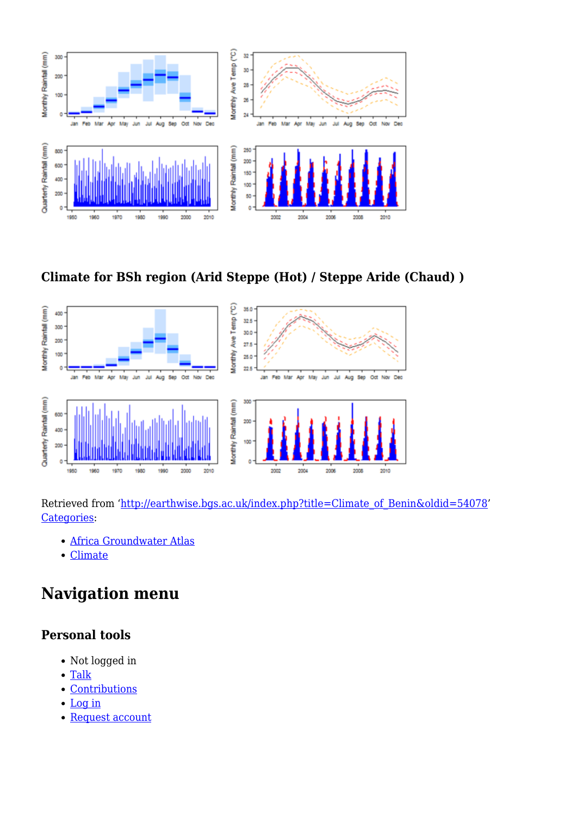

# **Climate for BSh region (Arid Steppe (Hot) / Steppe Aride (Chaud) )**



Retrieved from ['http://earthwise.bgs.ac.uk/index.php?title=Climate\\_of\\_Benin&oldid=54078](http://earthwise.bgs.ac.uk/index.php?title=Climate_of_Benin&oldid=54078)' [Categories:](http://earthwise.bgs.ac.uk/index.php/Special:Categories)

- [Africa Groundwater Atlas](http://earthwise.bgs.ac.uk/index.php/Category:Africa_Groundwater_Atlas)
- [Climate](http://earthwise.bgs.ac.uk/index.php/Category:Climate)

# **Navigation menu**

# **Personal tools**

- Not logged in
- [Talk](http://earthwise.bgs.ac.uk/index.php/Special:MyTalk)
- [Contributions](http://earthwise.bgs.ac.uk/index.php/Special:MyContributions)
- [Log in](http://earthwise.bgs.ac.uk/index.php?title=Special:UserLogin&returnto=Climate+of+Benin&returntoquery=action%3Dmpdf)
- [Request account](http://earthwise.bgs.ac.uk/index.php/Special:RequestAccount)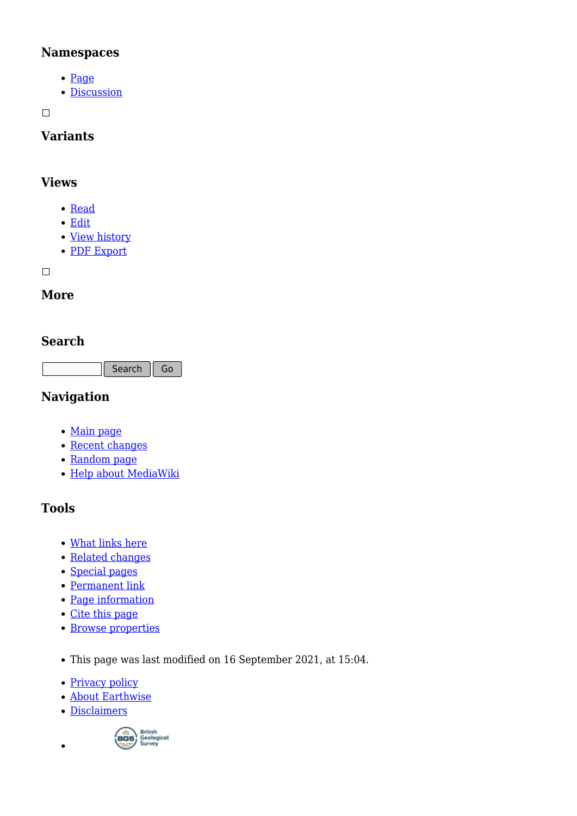#### **Namespaces**

- [Page](http://earthwise.bgs.ac.uk/index.php/Climate_of_Benin)
- [Discussion](http://earthwise.bgs.ac.uk/index.php?title=Talk:Climate_of_Benin&action=edit&redlink=1)

 $\Box$ 

# **Variants**

#### **Views**

- [Read](http://earthwise.bgs.ac.uk/index.php/Climate_of_Benin)
- [Edit](http://earthwise.bgs.ac.uk/index.php?title=Climate_of_Benin&action=edit)
- [View history](http://earthwise.bgs.ac.uk/index.php?title=Climate_of_Benin&action=history)
- [PDF Export](http://earthwise.bgs.ac.uk/index.php?title=Climate_of_Benin&action=mpdf)

 $\Box$ 

# **More**

# **Search**

Search Go

# **Navigation**

- [Main page](http://earthwise.bgs.ac.uk/index.php/Main_Page)
- [Recent changes](http://earthwise.bgs.ac.uk/index.php/Special:RecentChanges)
- [Random page](http://earthwise.bgs.ac.uk/index.php/Special:Random)
- [Help about MediaWiki](https://www.mediawiki.org/wiki/Special:MyLanguage/Help:Contents)

# **Tools**

- [What links here](http://earthwise.bgs.ac.uk/index.php/Special:WhatLinksHere/Climate_of_Benin)
- [Related changes](http://earthwise.bgs.ac.uk/index.php/Special:RecentChangesLinked/Climate_of_Benin)
- [Special pages](http://earthwise.bgs.ac.uk/index.php/Special:SpecialPages)
- [Permanent link](http://earthwise.bgs.ac.uk/index.php?title=Climate_of_Benin&oldid=54078)
- [Page information](http://earthwise.bgs.ac.uk/index.php?title=Climate_of_Benin&action=info)
- [Cite this page](http://earthwise.bgs.ac.uk/index.php?title=Special:CiteThisPage&page=Climate_of_Benin&id=54078)
- [Browse properties](http://earthwise.bgs.ac.uk/index.php/Special:Browse/:Climate-5Fof-5FBenin)
- This page was last modified on 16 September 2021, at 15:04.
- [Privacy policy](http://earthwise.bgs.ac.uk/index.php/Earthwise:Privacy_policy)
- [About Earthwise](http://earthwise.bgs.ac.uk/index.php/Earthwise:About)
- [Disclaimers](http://earthwise.bgs.ac.uk/index.php/Earthwise:General_disclaimer)